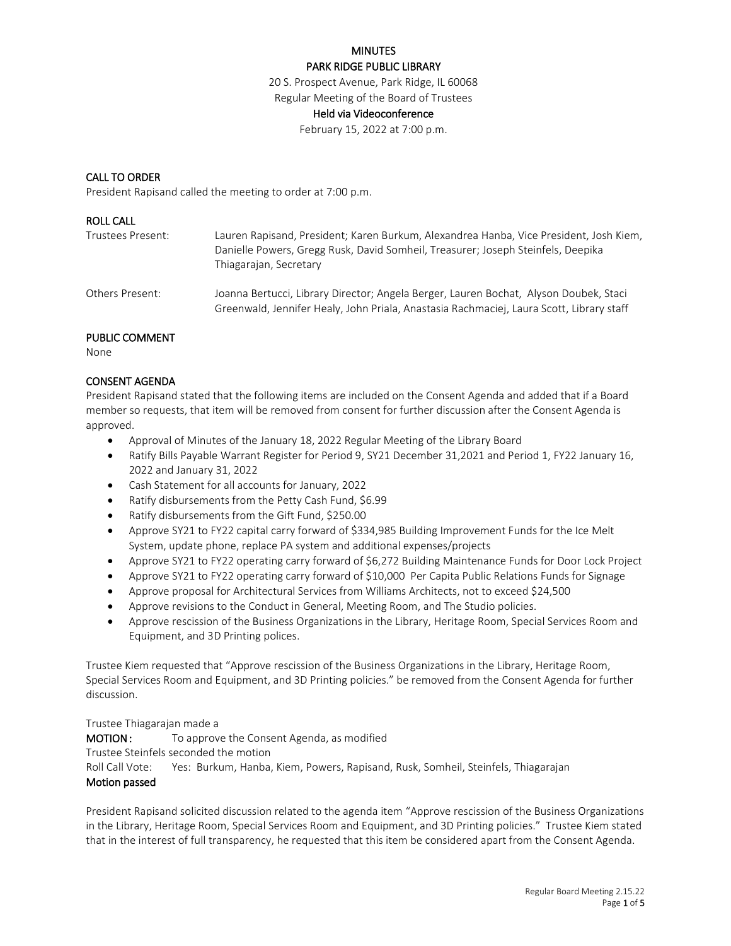#### PARK RIDGE PUBLIC LIBRARY

20 S. Prospect Avenue, Park Ridge, IL 60068

## Regular Meeting of the Board of Trustees

# Held via Videoconference

February 15, 2022 at 7:00 p.m.

#### CALL TO ORDER

President Rapisand called the meeting to order at 7:00 p.m.

#### ROLL CALL

| Trustees Present: | Lauren Rapisand, President; Karen Burkum, Alexandrea Hanba, Vice President, Josh Kiem,<br>Danielle Powers, Gregg Rusk, David Somheil, Treasurer; Joseph Steinfels, Deepika<br>Thiagarajan, Secretary |
|-------------------|------------------------------------------------------------------------------------------------------------------------------------------------------------------------------------------------------|
| Others Present:   | Joanna Bertucci, Library Director; Angela Berger, Lauren Bochat, Alyson Doubek, Staci<br>Greenwald, Jennifer Healy, John Priala, Anastasia Rachmaciej, Laura Scott, Library staff                    |
|                   |                                                                                                                                                                                                      |

## PUBLIC COMMENT

None

## CONSENT AGENDA

President Rapisand stated that the following items are included on the Consent Agenda and added that if a Board member so requests, that item will be removed from consent for further discussion after the Consent Agenda is approved.

- Approval of Minutes of the January 18, 2022 Regular Meeting of the Library Board
- Ratify Bills Payable Warrant Register for Period 9, SY21 December 31,2021 and Period 1, FY22 January 16, 2022 and January 31, 2022
- Cash Statement for all accounts for January, 2022
- Ratify disbursements from the Petty Cash Fund, \$6.99
- Ratify disbursements from the Gift Fund, \$250.00
- Approve SY21 to FY22 capital carry forward of \$334,985 Building Improvement Funds for the Ice Melt System, update phone, replace PA system and additional expenses/projects
- Approve SY21 to FY22 operating carry forward of \$6,272 Building Maintenance Funds for Door Lock Project
- Approve SY21 to FY22 operating carry forward of \$10,000 Per Capita Public Relations Funds for Signage
- Approve proposal for Architectural Services from Williams Architects, not to exceed \$24,500
- Approve revisions to the Conduct in General, Meeting Room, and The Studio policies.
- Approve rescission of the Business Organizations in the Library, Heritage Room, Special Services Room and Equipment, and 3D Printing polices.

Trustee Kiem requested that "Approve rescission of the Business Organizations in the Library, Heritage Room, Special Services Room and Equipment, and 3D Printing policies." be removed from the Consent Agenda for further discussion.

#### Trustee Thiagarajan made a

**MOTION:** To approve the Consent Agenda, as modified Trustee Steinfels seconded the motion Roll Call Vote: Yes: Burkum, Hanba, Kiem, Powers, Rapisand, Rusk, Somheil, Steinfels, Thiagarajan Motion passed

President Rapisand solicited discussion related to the agenda item "Approve rescission of the Business Organizations in the Library, Heritage Room, Special Services Room and Equipment, and 3D Printing policies." Trustee Kiem stated that in the interest of full transparency, he requested that this item be considered apart from the Consent Agenda.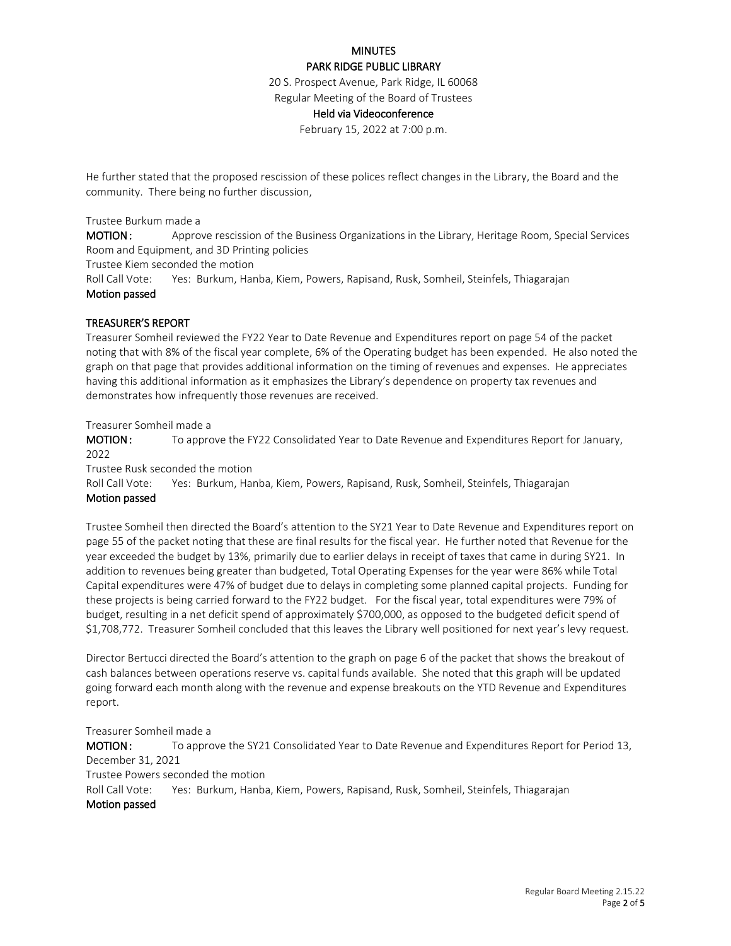#### PARK RIDGE PUBLIC LIBRARY

20 S. Prospect Avenue, Park Ridge, IL 60068

## Regular Meeting of the Board of Trustees

# Held via Videoconference

February 15, 2022 at 7:00 p.m.

He further stated that the proposed rescission of these polices reflect changes in the Library, the Board and the community. There being no further discussion,

#### Trustee Burkum made a

MOTION: Approve rescission of the Business Organizations in the Library, Heritage Room, Special Services Room and Equipment, and 3D Printing policies

Trustee Kiem seconded the motion

Roll Call Vote: Yes: Burkum, Hanba, Kiem, Powers, Rapisand, Rusk, Somheil, Steinfels, Thiagarajan Motion passed

#### TREASURER'S REPORT

Treasurer Somheil reviewed the FY22 Year to Date Revenue and Expenditures report on page 54 of the packet noting that with 8% of the fiscal year complete, 6% of the Operating budget has been expended. He also noted the graph on that page that provides additional information on the timing of revenues and expenses. He appreciates having this additional information as it emphasizes the Library's dependence on property tax revenues and demonstrates how infrequently those revenues are received.

Treasurer Somheil made a

MOTION: To approve the FY22 Consolidated Year to Date Revenue and Expenditures Report for January, 2022

Trustee Rusk seconded the motion

Roll Call Vote: Yes: Burkum, Hanba, Kiem, Powers, Rapisand, Rusk, Somheil, Steinfels, Thiagarajan Motion passed

Trustee Somheil then directed the Board's attention to the SY21 Year to Date Revenue and Expenditures report on page 55 of the packet noting that these are final results for the fiscal year. He further noted that Revenue for the year exceeded the budget by 13%, primarily due to earlier delays in receipt of taxes that came in during SY21. In addition to revenues being greater than budgeted, Total Operating Expenses for the year were 86% while Total Capital expenditures were 47% of budget due to delays in completing some planned capital projects. Funding for these projects is being carried forward to the FY22 budget. For the fiscal year, total expenditures were 79% of budget, resulting in a net deficit spend of approximately \$700,000, as opposed to the budgeted deficit spend of \$1,708,772. Treasurer Somheil concluded that this leaves the Library well positioned for next year's levy request.

Director Bertucci directed the Board's attention to the graph on page 6 of the packet that shows the breakout of cash balances between operations reserve vs. capital funds available. She noted that this graph will be updated going forward each month along with the revenue and expense breakouts on the YTD Revenue and Expenditures report.

Treasurer Somheil made a MOTION: To approve the SY21 Consolidated Year to Date Revenue and Expenditures Report for Period 13, December 31, 2021 Trustee Powers seconded the motion Roll Call Vote: Yes: Burkum, Hanba, Kiem, Powers, Rapisand, Rusk, Somheil, Steinfels, Thiagarajan Motion passed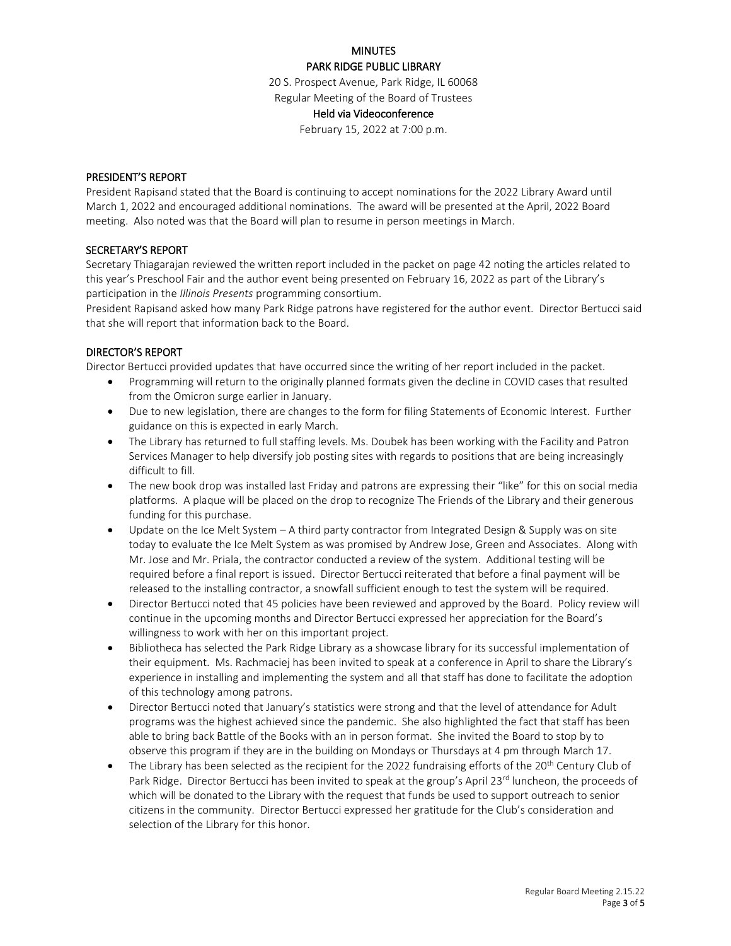#### PARK RIDGE PUBLIC LIBRARY

20 S. Prospect Avenue, Park Ridge, IL 60068

# Regular Meeting of the Board of Trustees

# Held via Videoconference

February 15, 2022 at 7:00 p.m.

#### PRESIDENT'S REPORT

President Rapisand stated that the Board is continuing to accept nominations for the 2022 Library Award until March 1, 2022 and encouraged additional nominations. The award will be presented at the April, 2022 Board meeting. Also noted was that the Board will plan to resume in person meetings in March.

#### SECRETARY'S REPORT

Secretary Thiagarajan reviewed the written report included in the packet on page 42 noting the articles related to this year's Preschool Fair and the author event being presented on February 16, 2022 as part of the Library's participation in the *Illinois Presents* programming consortium.

President Rapisand asked how many Park Ridge patrons have registered for the author event. Director Bertucci said that she will report that information back to the Board.

#### DIRECTOR'S REPORT

Director Bertucci provided updates that have occurred since the writing of her report included in the packet.

- Programming will return to the originally planned formats given the decline in COVID cases that resulted from the Omicron surge earlier in January.
- Due to new legislation, there are changes to the form for filing Statements of Economic Interest. Further guidance on this is expected in early March.
- The Library has returned to full staffing levels. Ms. Doubek has been working with the Facility and Patron Services Manager to help diversify job posting sites with regards to positions that are being increasingly difficult to fill.
- The new book drop was installed last Friday and patrons are expressing their "like" for this on social media platforms. A plaque will be placed on the drop to recognize The Friends of the Library and their generous funding for this purchase.
- Update on the Ice Melt System A third party contractor from Integrated Design & Supply was on site today to evaluate the Ice Melt System as was promised by Andrew Jose, Green and Associates. Along with Mr. Jose and Mr. Priala, the contractor conducted a review of the system. Additional testing will be required before a final report is issued. Director Bertucci reiterated that before a final payment will be released to the installing contractor, a snowfall sufficient enough to test the system will be required.
- Director Bertucci noted that 45 policies have been reviewed and approved by the Board. Policy review will continue in the upcoming months and Director Bertucci expressed her appreciation for the Board's willingness to work with her on this important project.
- $\bullet$  Bibliotheca has selected the Park Ridge Library as a showcase library for its successful implementation of their equipment. Ms. Rachmaciej has been invited to speak at a conference in April to share the Library's experience in installing and implementing the system and all that staff has done to facilitate the adoption of this technology among patrons.
- Director Bertucci noted that January's statistics were strong and that the level of attendance for Adult programs was the highest achieved since the pandemic. She also highlighted the fact that staff has been able to bring back Battle of the Books with an in person format. She invited the Board to stop by to observe this program if they are in the building on Mondays or Thursdays at 4 pm through March 17.
- The Library has been selected as the recipient for the 2022 fundraising efforts of the 20<sup>th</sup> Century Club of Park Ridge. Director Bertucci has been invited to speak at the group's April 23<sup>rd</sup> luncheon, the proceeds of which will be donated to the Library with the request that funds be used to support outreach to senior citizens in the community. Director Bertucci expressed her gratitude for the Club's consideration and selection of the Library for this honor.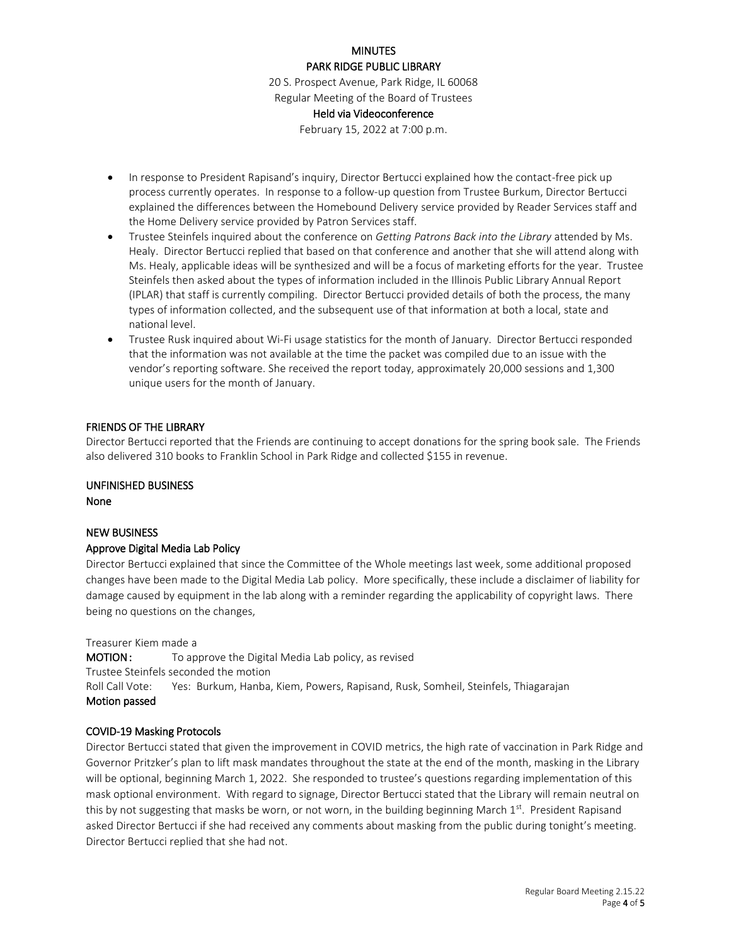## **MINUTES** PARK RIDGE PUBLIC LIBRARY

20 S. Prospect Avenue, Park Ridge, IL 60068

# Regular Meeting of the Board of Trustees

# Held via Videoconference

February 15, 2022 at 7:00 p.m.

- In response to President Rapisand's inquiry, Director Bertucci explained how the contact-free pick up process currently operates. In response to a follow-up question from Trustee Burkum, Director Bertucci explained the differences between the Homebound Delivery service provided by Reader Services staff and the Home Delivery service provided by Patron Services staff.
- Trustee Steinfels inquired about the conference on *Getting Patrons Back into the Library* attended by Ms. Healy. Director Bertucci replied that based on that conference and another that she will attend along with Ms. Healy, applicable ideas will be synthesized and will be a focus of marketing efforts for the year. Trustee Steinfels then asked about the types of information included in the Illinois Public Library Annual Report (IPLAR) that staff is currently compiling. Director Bertucci provided details of both the process, the many types of information collected, and the subsequent use of that information at both a local, state and national level.
- Trustee Rusk inquired about Wi-Fi usage statistics for the month of January. Director Bertucci responded that the information was not available at the time the packet was compiled due to an issue with the vendor's reporting software. She received the report today, approximately 20,000 sessions and 1,300 unique users for the month of January.

# FRIENDS OF THE LIBRARY

Director Bertucci reported that the Friends are continuing to accept donations for the spring book sale. The Friends also delivered 310 books to Franklin School in Park Ridge and collected \$155 in revenue.

# UNFINISHED BUSINESS

None

# NEW BUSINESS

# Approve Digital Media Lab Policy

Director Bertucci explained that since the Committee of the Whole meetings last week, some additional proposed changes have been made to the Digital Media Lab policy. More specifically, these include a disclaimer of liability for damage caused by equipment in the lab along with a reminder regarding the applicability of copyright laws. There being no questions on the changes,

Treasurer Kiem made a

**MOTION:** To approve the Digital Media Lab policy, as revised Trustee Steinfels seconded the motion Roll Call Vote: Yes: Burkum, Hanba, Kiem, Powers, Rapisand, Rusk, Somheil, Steinfels, Thiagarajan Motion passed

# COVID-19 Masking Protocols

Director Bertucci stated that given the improvement in COVID metrics, the high rate of vaccination in Park Ridge and Governor Pritzker's plan to lift mask mandates throughout the state at the end of the month, masking in the Library will be optional, beginning March 1, 2022. She responded to trustee's questions regarding implementation of this mask optional environment. With regard to signage, Director Bertucci stated that the Library will remain neutral on this by not suggesting that masks be worn, or not worn, in the building beginning March  $1<sup>st</sup>$ . President Rapisand asked Director Bertucci if she had received any comments about masking from the public during tonight's meeting. Director Bertucci replied that she had not.